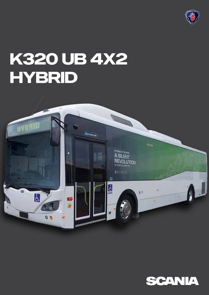

# K320 UB 4X2 HYBRID



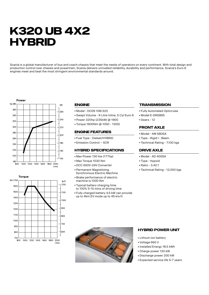# **K320 UB 4X2 HYBRID**

Scania is a global manufacturer of bus and coach chassis that meet the needs of operators on every continent. With total design and production control over chassis and powertrain, Scania delivers unrivalled reliability, durability and performance. Scania's Euro 6 engines meet and beat the most stringent environmental standards around.





### **Engine**

- Model DC09 108/320
- Swept Volume 9 Litre Inline, 5 Cyl Euro 6
- Power 320hp (235kW) @ 1900
- Torque 1600Nm @ 1050 1300)

#### **Engine Features**

- Fuel Type Dielsel/HYBRID
- Emission Control SCR

#### **HYBRID SPECIFICATIONS**

- Max Power 130 Kw (177hp)
- Max Torque 1030 Nm
- DCC 650V-24V Converter
- Permanent Magnetizing Synchronous Electric Machine
- Brake performance of electric machine is 1000 Nm
- Typical battery charging time to 100% 5-15 mins of driving time
- Fully charged battery 4.5 kW can provide up to 4km EV mode up to 45 km/h

#### **TRANSMISSION**

- Fully Automated Opticruise
- Model E-GRS895
- Gears 12

#### **Front Axle**

- Model AM 580SA
- Type Rigid I Beam
- Technical Rating 7,100 kgs

#### **DRIVE AXLE**

- Model AD 400SA
- Type Hypoid
- Ratio 3.42:1
- Technical Rating 12,000 kgs



#### **Hybrid power unit**

- Lithium-ion battery
- Voltage 660 V
- Installed Energy 18.5 kWh
- Charge power 120 kW
- Discharge power 200 kW
- Expected service life 5-7 years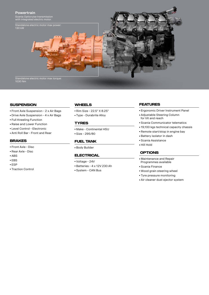

### **Suspension**

- Front Axle Suspension 2 x Air Bags
- Drive Axle Suspension 4 x Air Bags
- Full Kneeling Function
- Raise and Lower Function
- Level Control Electronic
- Anti Roll Bar Front and Rear

## **Brakes**

- Front Axle Disc
- Rear Axle Disc
- ABS
- EBS
- ESP
- Traction Control

### **Wheels**

- Rim Size 22.5" X 8.25"
- Type Durabrite Alloy

## **Tyres**

- Make Continental HSU
- Size 295/80

#### **FUEL TANK**

■ Body Builder

#### **ELECTRICAL**

- Voltage 24V
- Batteries 4 x 12V 230 Ah
- System CAN Bus

#### **FEATURES**

- Ergonomic Driver Instrument Panel
- Adjustable Steering Column for tilt and reach
- Scania Communicator telematics
- 19,100 kgs technical capacity chassis
- Remote start/stop in engine bay
- Battery isolator in dash
- Scania Assistance
- Hill Hold

# **OPTIONS**

- Maintenance and Repair Programmes available
- Scania Finance
- Wood grain steering wheel
- Tyre pressure monitoring
- Air cleaner dust ejector system